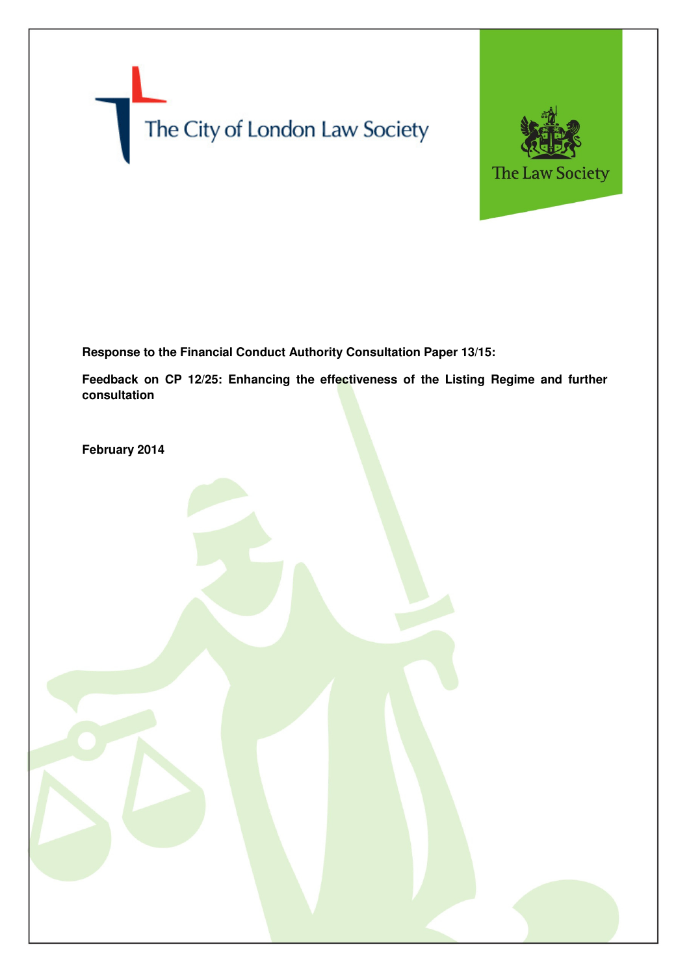



**Response to the Financial Conduct Authority Consultation Paper 13/15:** 

**Feedback on CP 12/25: Enhancing the effectiveness of the Listing Regime and further consultation** 

**February 2014**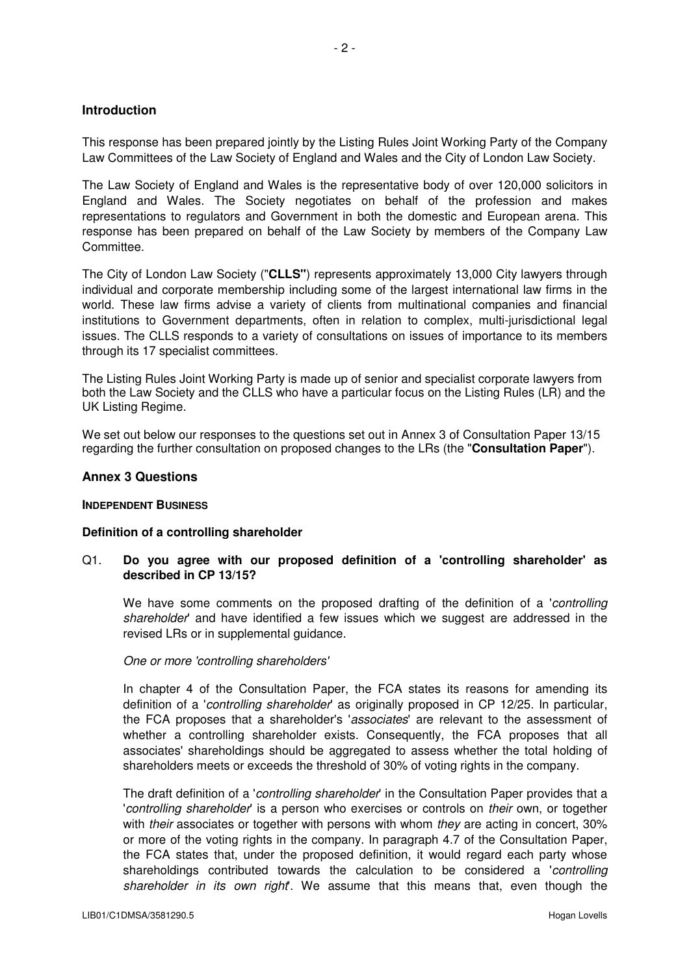## **Introduction**

This response has been prepared jointly by the Listing Rules Joint Working Party of the Company Law Committees of the Law Society of England and Wales and the City of London Law Society.

The Law Society of England and Wales is the representative body of over 120,000 solicitors in England and Wales. The Society negotiates on behalf of the profession and makes representations to regulators and Government in both the domestic and European arena. This response has been prepared on behalf of the Law Society by members of the Company Law Committee.

The City of London Law Society ("**CLLS"**) represents approximately 13,000 City lawyers through individual and corporate membership including some of the largest international law firms in the world. These law firms advise a variety of clients from multinational companies and financial institutions to Government departments, often in relation to complex, multi-jurisdictional legal issues. The CLLS responds to a variety of consultations on issues of importance to its members through its 17 specialist committees.

The Listing Rules Joint Working Party is made up of senior and specialist corporate lawyers from both the Law Society and the CLLS who have a particular focus on the Listing Rules (LR) and the UK Listing Regime.

We set out below our responses to the questions set out in Annex 3 of Consultation Paper 13/15 regarding the further consultation on proposed changes to the LRs (the "**Consultation Paper**").

### **Annex 3 Questions**

### **INDEPENDENT BUSINESS**

### **Definition of a controlling shareholder**

## Q1. **Do you agree with our proposed definition of a 'controlling shareholder' as described in CP 13/15?**

We have some comments on the proposed drafting of the definition of a *controlling* shareholder' and have identified a few issues which we suggest are addressed in the revised LRs or in supplemental guidance.

### One or more 'controlling shareholders'

In chapter 4 of the Consultation Paper, the FCA states its reasons for amending its definition of a 'controlling shareholder' as originally proposed in CP 12/25. In particular, the FCA proposes that a shareholder's 'associates' are relevant to the assessment of whether a controlling shareholder exists. Consequently, the FCA proposes that all associates' shareholdings should be aggregated to assess whether the total holding of shareholders meets or exceeds the threshold of 30% of voting rights in the company.

The draft definition of a 'controlling shareholder' in the Consultation Paper provides that a 'controlling shareholder' is a person who exercises or controls on their own, or together with *their* associates or together with persons with whom *they* are acting in concert, 30% or more of the voting rights in the company. In paragraph 4.7 of the Consultation Paper, the FCA states that, under the proposed definition, it would regard each party whose shareholdings contributed towards the calculation to be considered a '*controlling* shareholder in its own right. We assume that this means that, even though the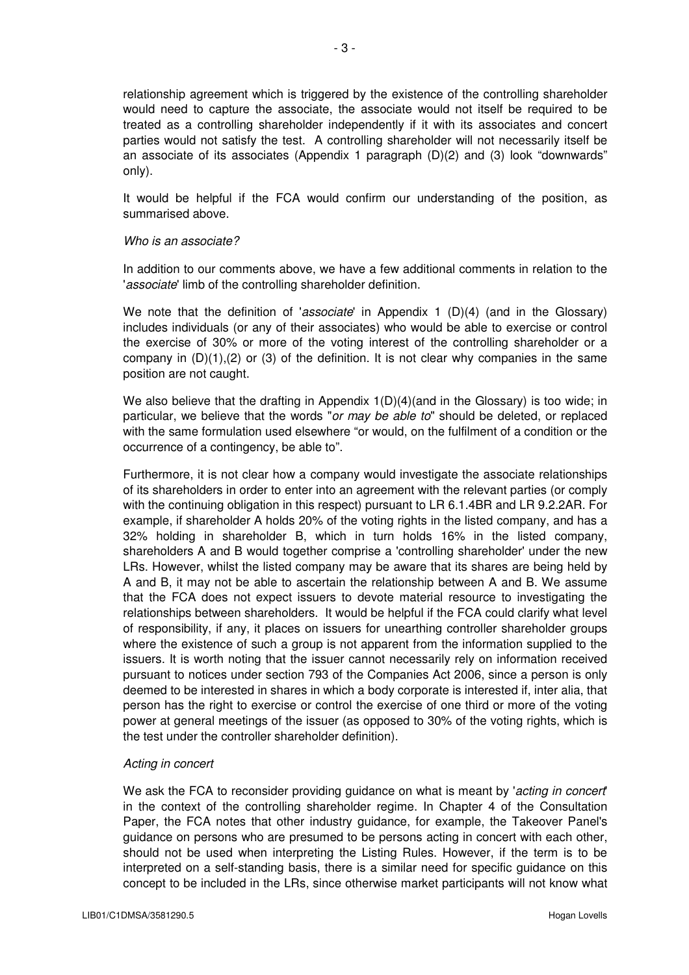relationship agreement which is triggered by the existence of the controlling shareholder would need to capture the associate, the associate would not itself be required to be treated as a controlling shareholder independently if it with its associates and concert parties would not satisfy the test. A controlling shareholder will not necessarily itself be an associate of its associates (Appendix 1 paragraph (D)(2) and (3) look "downwards" only).

It would be helpful if the FCA would confirm our understanding of the position, as summarised above.

### Who is an associate?

In addition to our comments above, we have a few additional comments in relation to the 'associate' limb of the controlling shareholder definition.

We note that the definition of 'associate' in Appendix 1  $(D)(4)$  (and in the Glossary) includes individuals (or any of their associates) who would be able to exercise or control the exercise of 30% or more of the voting interest of the controlling shareholder or a company in  $(D)(1),(2)$  or  $(3)$  of the definition. It is not clear why companies in the same position are not caught.

We also believe that the drafting in Appendix  $1(D)(4)(and$  in the Glossary) is too wide; in particular, we believe that the words "or may be able to" should be deleted, or replaced with the same formulation used elsewhere "or would, on the fulfilment of a condition or the occurrence of a contingency, be able to".

Furthermore, it is not clear how a company would investigate the associate relationships of its shareholders in order to enter into an agreement with the relevant parties (or comply with the continuing obligation in this respect) pursuant to LR 6.1.4BR and LR 9.2.2AR. For example, if shareholder A holds 20% of the voting rights in the listed company, and has a 32% holding in shareholder B, which in turn holds 16% in the listed company, shareholders A and B would together comprise a 'controlling shareholder' under the new LRs. However, whilst the listed company may be aware that its shares are being held by A and B, it may not be able to ascertain the relationship between A and B. We assume that the FCA does not expect issuers to devote material resource to investigating the relationships between shareholders. It would be helpful if the FCA could clarify what level of responsibility, if any, it places on issuers for unearthing controller shareholder groups where the existence of such a group is not apparent from the information supplied to the issuers. It is worth noting that the issuer cannot necessarily rely on information received pursuant to notices under section 793 of the Companies Act 2006, since a person is only deemed to be interested in shares in which a body corporate is interested if, inter alia, that person has the right to exercise or control the exercise of one third or more of the voting power at general meetings of the issuer (as opposed to 30% of the voting rights, which is the test under the controller shareholder definition).

## Acting in concert

We ask the FCA to reconsider providing guidance on what is meant by 'acting in concert' in the context of the controlling shareholder regime. In Chapter 4 of the Consultation Paper, the FCA notes that other industry guidance, for example, the Takeover Panel's guidance on persons who are presumed to be persons acting in concert with each other, should not be used when interpreting the Listing Rules. However, if the term is to be interpreted on a self-standing basis, there is a similar need for specific guidance on this concept to be included in the LRs, since otherwise market participants will not know what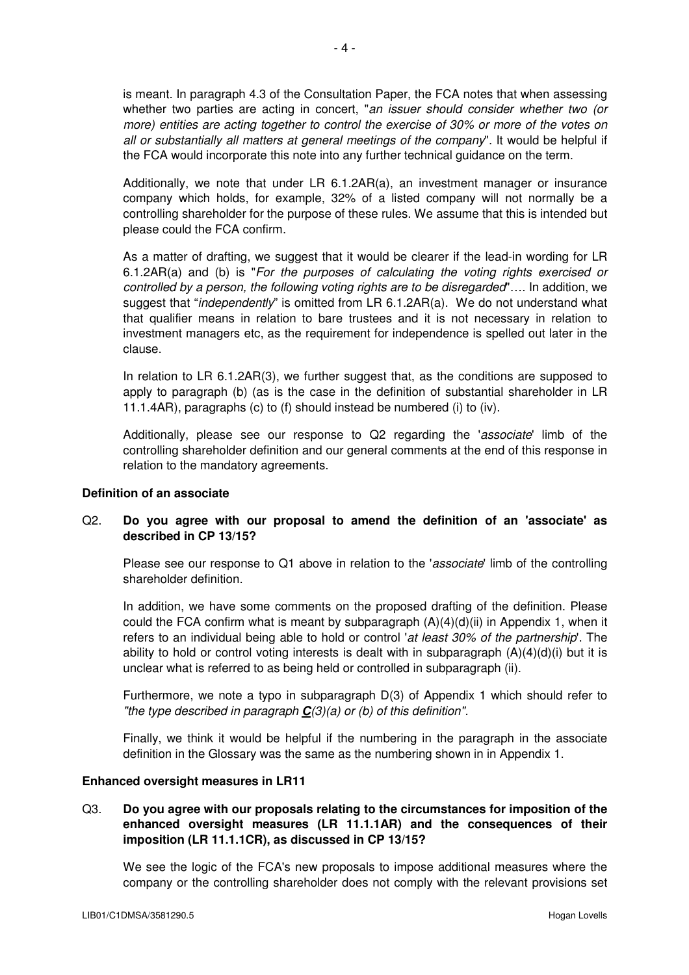is meant. In paragraph 4.3 of the Consultation Paper, the FCA notes that when assessing whether two parties are acting in concert, "an issuer should consider whether two (or more) entities are acting together to control the exercise of 30% or more of the votes on all or substantially all matters at general meetings of the company". It would be helpful if the FCA would incorporate this note into any further technical guidance on the term.

Additionally, we note that under LR 6.1.2AR(a), an investment manager or insurance company which holds, for example, 32% of a listed company will not normally be a controlling shareholder for the purpose of these rules. We assume that this is intended but please could the FCA confirm.

As a matter of drafting, we suggest that it would be clearer if the lead-in wording for LR 6.1.2AR(a) and (b) is "For the purposes of calculating the voting rights exercised or controlled by a person, the following voting rights are to be disregarded"…. In addition, we suggest that "*independently*" is omitted from LR 6.1.2AR(a). We do not understand what that qualifier means in relation to bare trustees and it is not necessary in relation to investment managers etc, as the requirement for independence is spelled out later in the clause.

In relation to LR 6.1.2AR(3), we further suggest that, as the conditions are supposed to apply to paragraph (b) (as is the case in the definition of substantial shareholder in LR 11.1.4AR), paragraphs (c) to (f) should instead be numbered (i) to (iv).

Additionally, please see our response to Q2 regarding the 'associate' limb of the controlling shareholder definition and our general comments at the end of this response in relation to the mandatory agreements.

## **Definition of an associate**

# Q2. **Do you agree with our proposal to amend the definition of an 'associate' as described in CP 13/15?**

Please see our response to Q1 above in relation to the 'associate' limb of the controlling shareholder definition.

In addition, we have some comments on the proposed drafting of the definition. Please could the FCA confirm what is meant by subparagraph  $(A)(4)(d)(ii)$  in Appendix 1, when it refers to an individual being able to hold or control 'at least 30% of the partnership'. The ability to hold or control voting interests is dealt with in subparagraph  $(A)(4)(d)(i)$  but it is unclear what is referred to as being held or controlled in subparagraph (ii).

Furthermore, we note a typo in subparagraph D(3) of Appendix 1 which should refer to "the type described in paragraph **C**(3)(a) or (b) of this definition".

Finally, we think it would be helpful if the numbering in the paragraph in the associate definition in the Glossary was the same as the numbering shown in in Appendix 1.

### **Enhanced oversight measures in LR11**

# Q3. **Do you agree with our proposals relating to the circumstances for imposition of the enhanced oversight measures (LR 11.1.1AR) and the consequences of their imposition (LR 11.1.1CR), as discussed in CP 13/15?**

We see the logic of the FCA's new proposals to impose additional measures where the company or the controlling shareholder does not comply with the relevant provisions set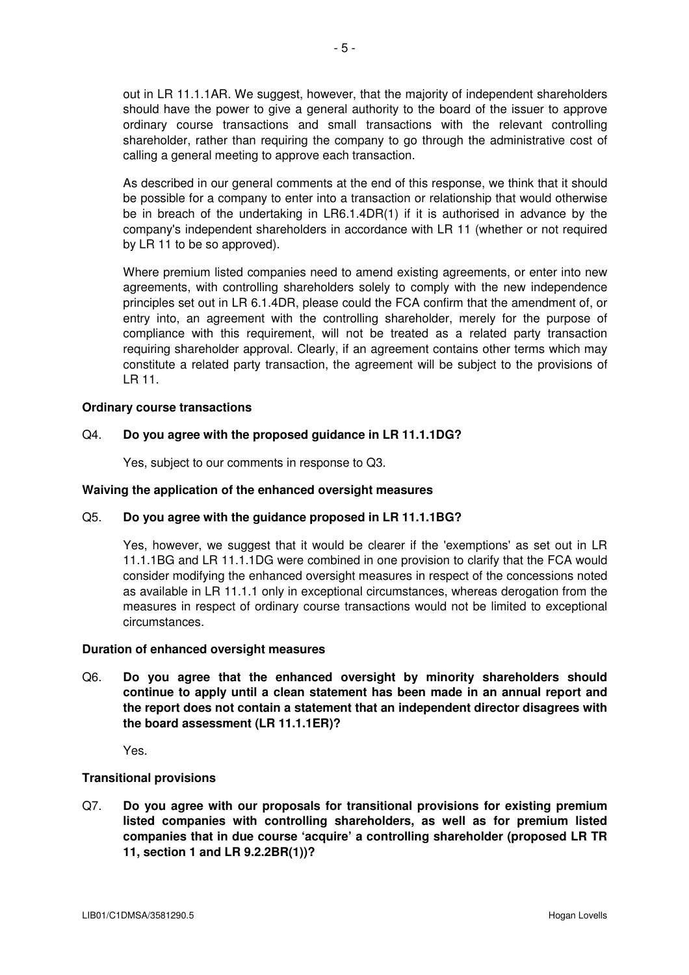out in LR 11.1.1AR. We suggest, however, that the majority of independent shareholders should have the power to give a general authority to the board of the issuer to approve ordinary course transactions and small transactions with the relevant controlling shareholder, rather than requiring the company to go through the administrative cost of calling a general meeting to approve each transaction.

As described in our general comments at the end of this response, we think that it should be possible for a company to enter into a transaction or relationship that would otherwise be in breach of the undertaking in LR6.1.4DR(1) if it is authorised in advance by the company's independent shareholders in accordance with LR 11 (whether or not required by LR 11 to be so approved).

Where premium listed companies need to amend existing agreements, or enter into new agreements, with controlling shareholders solely to comply with the new independence principles set out in LR 6.1.4DR, please could the FCA confirm that the amendment of, or entry into, an agreement with the controlling shareholder, merely for the purpose of compliance with this requirement, will not be treated as a related party transaction requiring shareholder approval. Clearly, if an agreement contains other terms which may constitute a related party transaction, the agreement will be subject to the provisions of LR 11.

## **Ordinary course transactions**

## Q4. **Do you agree with the proposed guidance in LR 11.1.1DG?**

Yes, subject to our comments in response to Q3.

### **Waiving the application of the enhanced oversight measures**

## Q5. **Do you agree with the guidance proposed in LR 11.1.1BG?**

Yes, however, we suggest that it would be clearer if the 'exemptions' as set out in LR 11.1.1BG and LR 11.1.1DG were combined in one provision to clarify that the FCA would consider modifying the enhanced oversight measures in respect of the concessions noted as available in LR 11.1.1 only in exceptional circumstances, whereas derogation from the measures in respect of ordinary course transactions would not be limited to exceptional circumstances.

### **Duration of enhanced oversight measures**

Q6. **Do you agree that the enhanced oversight by minority shareholders should continue to apply until a clean statement has been made in an annual report and the report does not contain a statement that an independent director disagrees with the board assessment (LR 11.1.1ER)?** 

Yes.

## **Transitional provisions**

Q7. **Do you agree with our proposals for transitional provisions for existing premium listed companies with controlling shareholders, as well as for premium listed companies that in due course 'acquire' a controlling shareholder (proposed LR TR 11, section 1 and LR 9.2.2BR(1))?**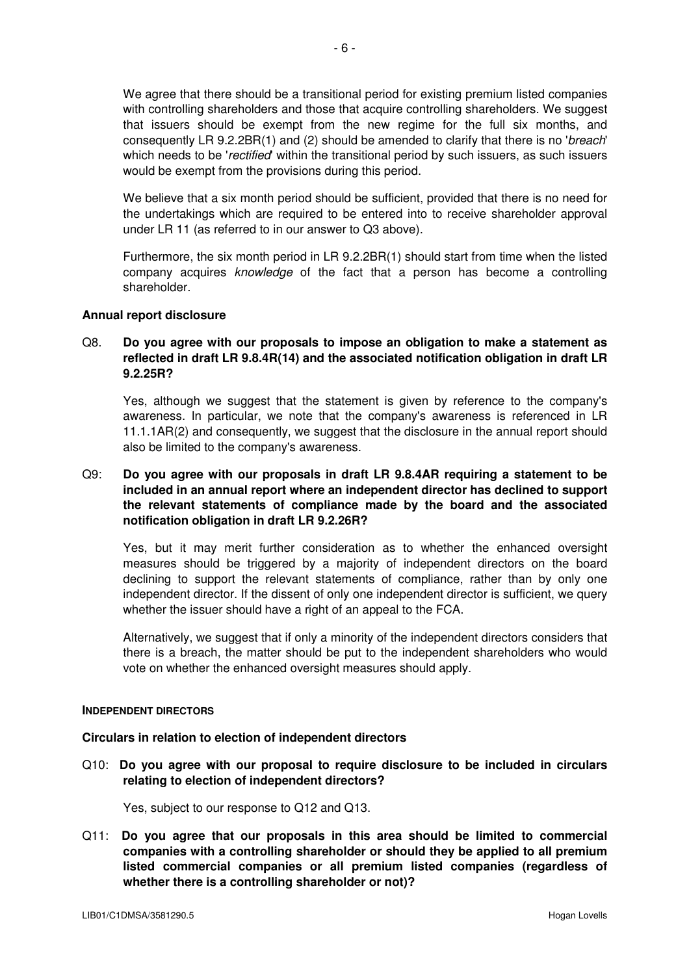We agree that there should be a transitional period for existing premium listed companies with controlling shareholders and those that acquire controlling shareholders. We suggest that issuers should be exempt from the new regime for the full six months, and consequently LR 9.2.2BR(1) and (2) should be amended to clarify that there is no 'breach' which needs to be 'rectified' within the transitional period by such issuers, as such issuers would be exempt from the provisions during this period.

We believe that a six month period should be sufficient, provided that there is no need for the undertakings which are required to be entered into to receive shareholder approval under LR 11 (as referred to in our answer to Q3 above).

Furthermore, the six month period in LR 9.2.2BR(1) should start from time when the listed company acquires knowledge of the fact that a person has become a controlling shareholder.

## **Annual report disclosure**

# Q8. **Do you agree with our proposals to impose an obligation to make a statement as reflected in draft LR 9.8.4R(14) and the associated notification obligation in draft LR 9.2.25R?**

Yes, although we suggest that the statement is given by reference to the company's awareness. In particular, we note that the company's awareness is referenced in LR 11.1.1AR(2) and consequently, we suggest that the disclosure in the annual report should also be limited to the company's awareness.

# Q9: **Do you agree with our proposals in draft LR 9.8.4AR requiring a statement to be included in an annual report where an independent director has declined to support the relevant statements of compliance made by the board and the associated notification obligation in draft LR 9.2.26R?**

 Yes, but it may merit further consideration as to whether the enhanced oversight measures should be triggered by a majority of independent directors on the board declining to support the relevant statements of compliance, rather than by only one independent director. If the dissent of only one independent director is sufficient, we query whether the issuer should have a right of an appeal to the FCA.

 Alternatively, we suggest that if only a minority of the independent directors considers that there is a breach, the matter should be put to the independent shareholders who would vote on whether the enhanced oversight measures should apply.

### **INDEPENDENT DIRECTORS**

## **Circulars in relation to election of independent directors**

Q10: **Do you agree with our proposal to require disclosure to be included in circulars relating to election of independent directors?** 

Yes, subject to our response to Q12 and Q13.

Q11: **Do you agree that our proposals in this area should be limited to commercial companies with a controlling shareholder or should they be applied to all premium listed commercial companies or all premium listed companies (regardless of whether there is a controlling shareholder or not)?**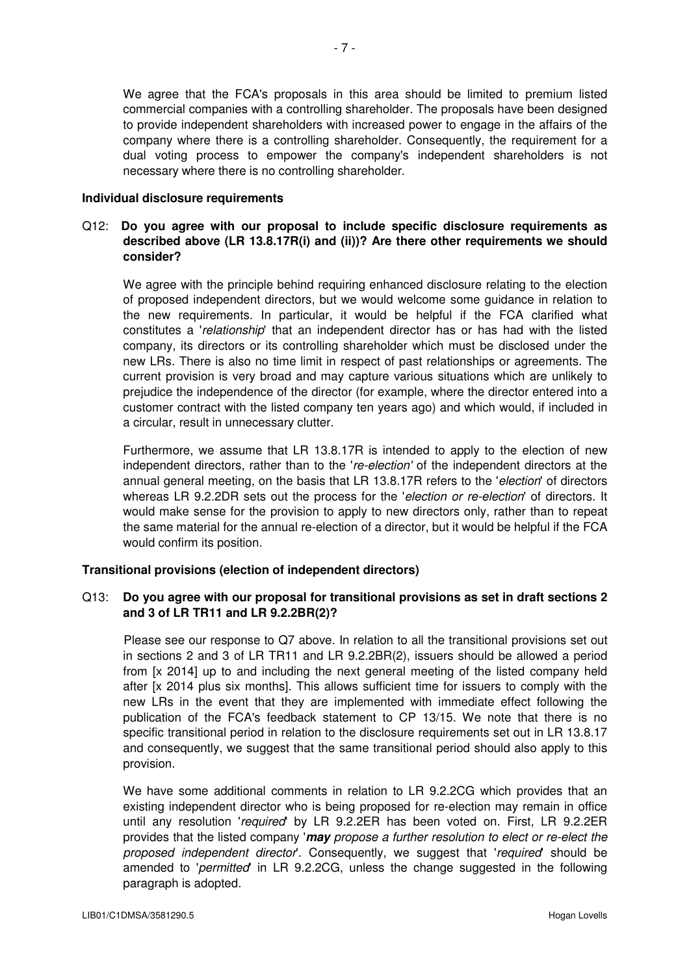We agree that the FCA's proposals in this area should be limited to premium listed commercial companies with a controlling shareholder. The proposals have been designed to provide independent shareholders with increased power to engage in the affairs of the company where there is a controlling shareholder. Consequently, the requirement for a dual voting process to empower the company's independent shareholders is not necessary where there is no controlling shareholder.

### **Individual disclosure requirements**

# Q12: **Do you agree with our proposal to include specific disclosure requirements as described above (LR 13.8.17R(i) and (ii))? Are there other requirements we should consider?**

 We agree with the principle behind requiring enhanced disclosure relating to the election of proposed independent directors, but we would welcome some guidance in relation to the new requirements. In particular, it would be helpful if the FCA clarified what constitutes a *'relationship'* that an independent director has or has had with the listed company, its directors or its controlling shareholder which must be disclosed under the new LRs. There is also no time limit in respect of past relationships or agreements. The current provision is very broad and may capture various situations which are unlikely to prejudice the independence of the director (for example, where the director entered into a customer contract with the listed company ten years ago) and which would, if included in a circular, result in unnecessary clutter.

 Furthermore, we assume that LR 13.8.17R is intended to apply to the election of new independent directors, rather than to the 're-election' of the independent directors at the annual general meeting, on the basis that LR 13.8.17R refers to the 'election' of directors whereas LR 9.2.2DR sets out the process for the 'election or re-election' of directors. It would make sense for the provision to apply to new directors only, rather than to repeat the same material for the annual re-election of a director, but it would be helpful if the FCA would confirm its position.

# **Transitional provisions (election of independent directors)**

# Q13: **Do you agree with our proposal for transitional provisions as set in draft sections 2 and 3 of LR TR11 and LR 9.2.2BR(2)?**

 Please see our response to Q7 above. In relation to all the transitional provisions set out in sections 2 and 3 of LR TR11 and LR 9.2.2BR(2), issuers should be allowed a period from [x 2014] up to and including the next general meeting of the listed company held after [x 2014 plus six months]. This allows sufficient time for issuers to comply with the new LRs in the event that they are implemented with immediate effect following the publication of the FCA's feedback statement to CP 13/15. We note that there is no specific transitional period in relation to the disclosure requirements set out in LR 13.8.17 and consequently, we suggest that the same transitional period should also apply to this provision.

We have some additional comments in relation to LR 9.2.2CG which provides that an existing independent director who is being proposed for re-election may remain in office until any resolution 'required' by LR 9.2.2ER has been voted on. First, LR 9.2.2ER provides that the listed company '**may** propose a further resolution to elect or re-elect the proposed independent director'. Consequently, we suggest that 'required' should be amended to 'permitted' in LR 9.2.2CG, unless the change suggested in the following paragraph is adopted.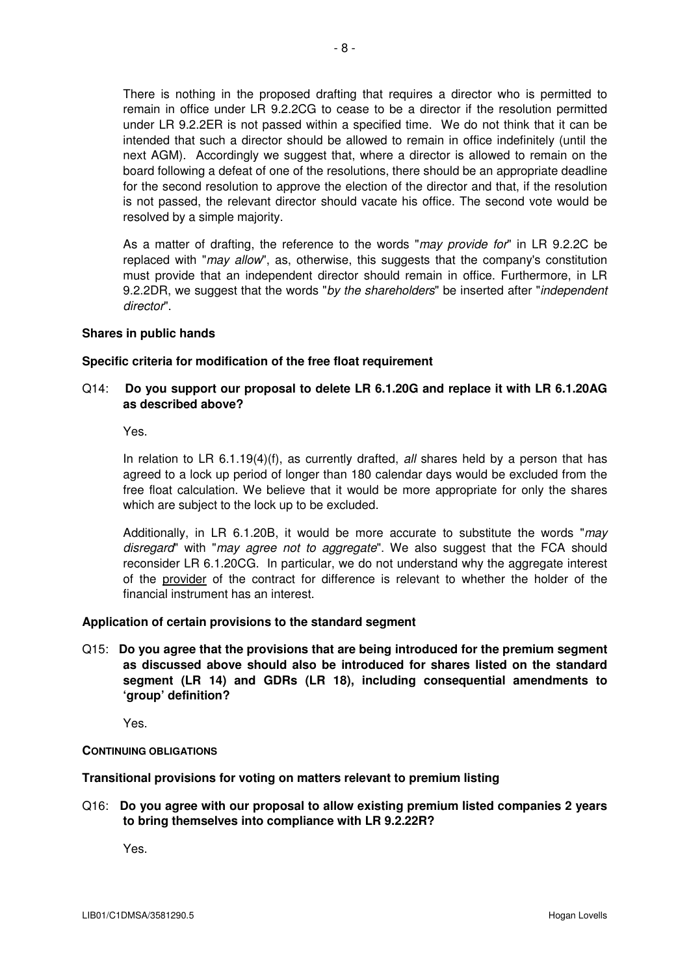There is nothing in the proposed drafting that requires a director who is permitted to remain in office under LR 9.2.2CG to cease to be a director if the resolution permitted under LR 9.2.2ER is not passed within a specified time. We do not think that it can be intended that such a director should be allowed to remain in office indefinitely (until the next AGM). Accordingly we suggest that, where a director is allowed to remain on the board following a defeat of one of the resolutions, there should be an appropriate deadline for the second resolution to approve the election of the director and that, if the resolution is not passed, the relevant director should vacate his office. The second vote would be resolved by a simple majority.

As a matter of drafting, the reference to the words "may provide for" in LR 9.2.2C be replaced with "*may allow*", as, otherwise, this suggests that the company's constitution must provide that an independent director should remain in office. Furthermore, in LR 9.2.2DR, we suggest that the words "by the shareholders" be inserted after "independent" director".

## **Shares in public hands**

### **Specific criteria for modification of the free float requirement**

# Q14: **Do you support our proposal to delete LR 6.1.20G and replace it with LR 6.1.20AG as described above?**

Yes.

In relation to LR  $6.1.19(4)(f)$ , as currently drafted, all shares held by a person that has agreed to a lock up period of longer than 180 calendar days would be excluded from the free float calculation. We believe that it would be more appropriate for only the shares which are subject to the lock up to be excluded.

Additionally, in LR 6.1.20B, it would be more accurate to substitute the words " $may$ disregard" with "may agree not to aggregate". We also suggest that the FCA should reconsider LR 6.1.20CG. In particular, we do not understand why the aggregate interest of the provider of the contract for difference is relevant to whether the holder of the financial instrument has an interest.

### **Application of certain provisions to the standard segment**

Q15: **Do you agree that the provisions that are being introduced for the premium segment as discussed above should also be introduced for shares listed on the standard segment (LR 14) and GDRs (LR 18), including consequential amendments to 'group' definition?**

Yes.

### **CONTINUING OBLIGATIONS**

**Transitional provisions for voting on matters relevant to premium listing** 

Q16: **Do you agree with our proposal to allow existing premium listed companies 2 years to bring themselves into compliance with LR 9.2.22R?** 

Yes.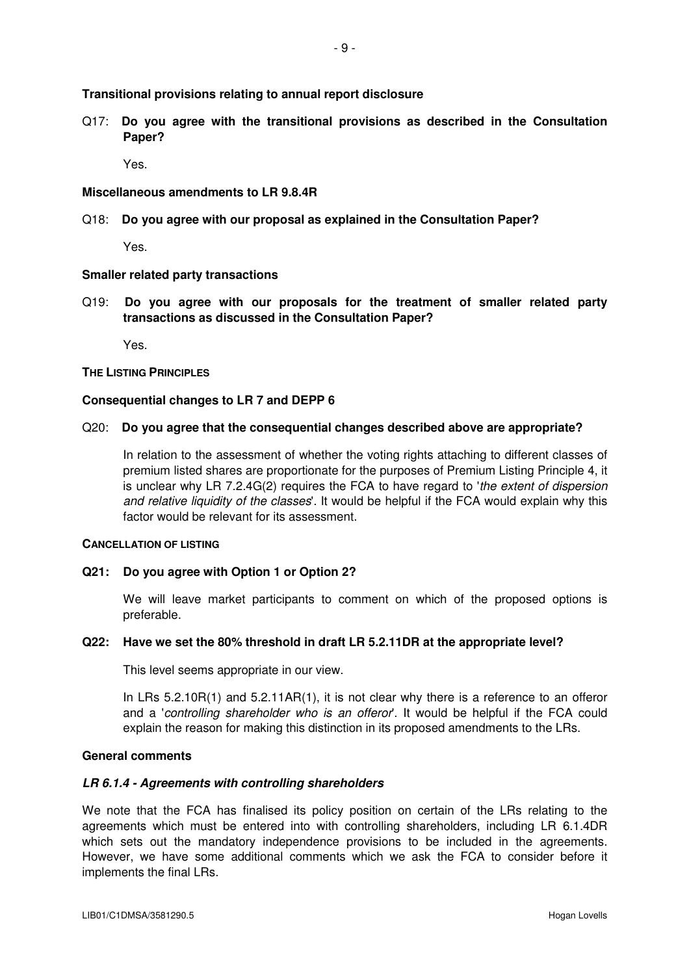Q17: **Do you agree with the transitional provisions as described in the Consultation Paper?** 

Yes.

### **Miscellaneous amendments to LR 9.8.4R**

Q18: **Do you agree with our proposal as explained in the Consultation Paper?** 

Yes.

### **Smaller related party transactions**

Q19: **Do you agree with our proposals for the treatment of smaller related party transactions as discussed in the Consultation Paper?** 

Yes.

### **THE LISTING PRINCIPLES**

### **Consequential changes to LR 7 and DEPP 6**

#### Q20: **Do you agree that the consequential changes described above are appropriate?**

 In relation to the assessment of whether the voting rights attaching to different classes of premium listed shares are proportionate for the purposes of Premium Listing Principle 4, it is unclear why LR 7.2.4G(2) requires the FCA to have regard to 'the extent of dispersion and relative liquidity of the classes'. It would be helpful if the FCA would explain why this factor would be relevant for its assessment.

### **CANCELLATION OF LISTING**

### **Q21: Do you agree with Option 1 or Option 2?**

We will leave market participants to comment on which of the proposed options is preferable.

#### **Q22: Have we set the 80% threshold in draft LR 5.2.11DR at the appropriate level?**

This level seems appropriate in our view.

In LRs  $5.2.10R(1)$  and  $5.2.11AR(1)$ , it is not clear why there is a reference to an offeror and a 'controlling shareholder who is an offeror'. It would be helpful if the FCA could explain the reason for making this distinction in its proposed amendments to the LRs.

### **General comments**

#### **LR 6.1.4 - Agreements with controlling shareholders**

We note that the FCA has finalised its policy position on certain of the LRs relating to the agreements which must be entered into with controlling shareholders, including LR 6.1.4DR which sets out the mandatory independence provisions to be included in the agreements. However, we have some additional comments which we ask the FCA to consider before it implements the final LRs.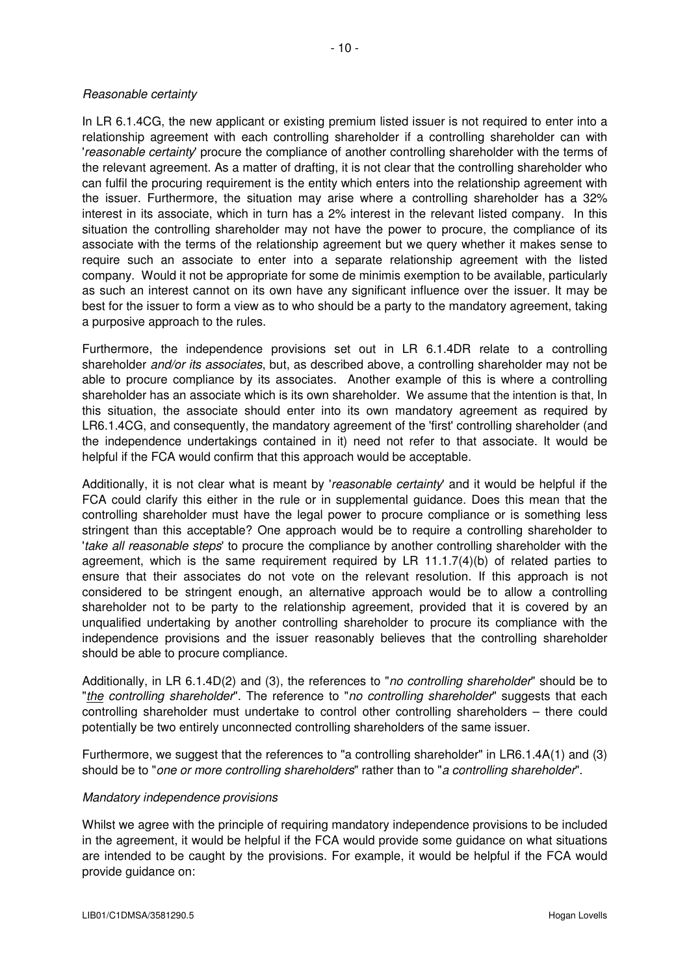## Reasonable certainty

In LR 6.1.4CG, the new applicant or existing premium listed issuer is not required to enter into a relationship agreement with each controlling shareholder if a controlling shareholder can with 'reasonable certainty' procure the compliance of another controlling shareholder with the terms of the relevant agreement. As a matter of drafting, it is not clear that the controlling shareholder who can fulfil the procuring requirement is the entity which enters into the relationship agreement with the issuer. Furthermore, the situation may arise where a controlling shareholder has a 32% interest in its associate, which in turn has a 2% interest in the relevant listed company. In this situation the controlling shareholder may not have the power to procure, the compliance of its associate with the terms of the relationship agreement but we query whether it makes sense to require such an associate to enter into a separate relationship agreement with the listed company. Would it not be appropriate for some de minimis exemption to be available, particularly as such an interest cannot on its own have any significant influence over the issuer. It may be best for the issuer to form a view as to who should be a party to the mandatory agreement, taking a purposive approach to the rules.

Furthermore, the independence provisions set out in LR 6.1.4DR relate to a controlling shareholder and/or its associates, but, as described above, a controlling shareholder may not be able to procure compliance by its associates. Another example of this is where a controlling shareholder has an associate which is its own shareholder. We assume that the intention is that, In this situation, the associate should enter into its own mandatory agreement as required by LR6.1.4CG, and consequently, the mandatory agreement of the 'first' controlling shareholder (and the independence undertakings contained in it) need not refer to that associate. It would be helpful if the FCA would confirm that this approach would be acceptable.

Additionally, it is not clear what is meant by 'reasonable certainty' and it would be helpful if the FCA could clarify this either in the rule or in supplemental guidance. Does this mean that the controlling shareholder must have the legal power to procure compliance or is something less stringent than this acceptable? One approach would be to require a controlling shareholder to 'take all reasonable steps' to procure the compliance by another controlling shareholder with the agreement, which is the same requirement required by LR  $11.1.7(4)(b)$  of related parties to ensure that their associates do not vote on the relevant resolution. If this approach is not considered to be stringent enough, an alternative approach would be to allow a controlling shareholder not to be party to the relationship agreement, provided that it is covered by an unqualified undertaking by another controlling shareholder to procure its compliance with the independence provisions and the issuer reasonably believes that the controlling shareholder should be able to procure compliance.

Additionally, in LR 6.1.4D(2) and (3), the references to "no controlling shareholder" should be to "the controlling shareholder". The reference to "no controlling shareholder" suggests that each controlling shareholder must undertake to control other controlling shareholders – there could potentially be two entirely unconnected controlling shareholders of the same issuer.

Furthermore, we suggest that the references to "a controlling shareholder" in LR6.1.4A(1) and (3) should be to "one or more controlling shareholders" rather than to "a controlling shareholder".

## Mandatory independence provisions

Whilst we agree with the principle of requiring mandatory independence provisions to be included in the agreement, it would be helpful if the FCA would provide some guidance on what situations are intended to be caught by the provisions. For example, it would be helpful if the FCA would provide guidance on: